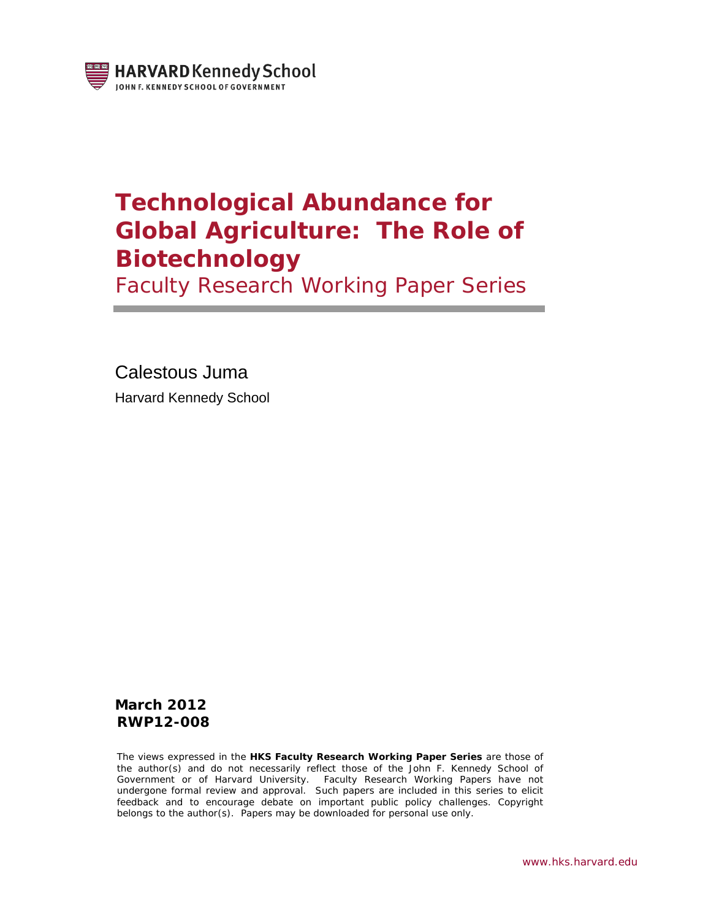

# **Technological Abundance for Global Agriculture: The Role of Biotechnology**

Faculty Research Working Paper Series

Calestous Juma Harvard Kennedy School

## **March 2012 RWP12-008**

The views expressed in the **HKS Faculty Research Working Paper Series** are those of the author(s) and do not necessarily reflect those of the John F. Kennedy School of Government or of Harvard University. Faculty Research Working Papers have not undergone formal review and approval. Such papers are included in this series to elicit feedback and to encourage debate on important public policy challenges. Copyright belongs to the author(s). Papers may be downloaded for personal use only.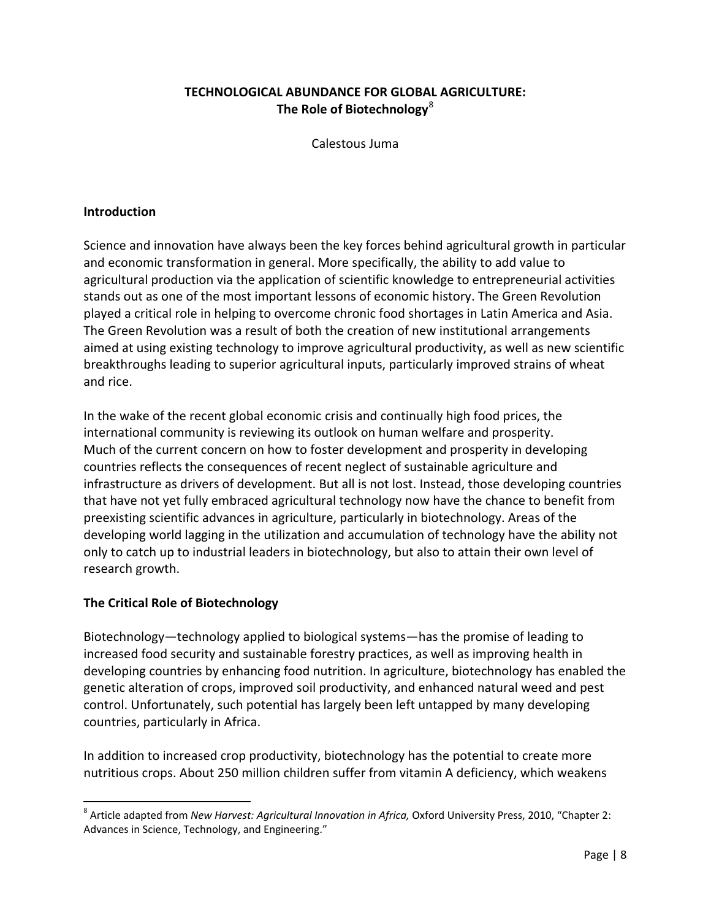#### **TECHNOLOGICAL ABUNDANCE FOR GLOBAL AGRICULTURE: The Role of Biotechnology**[8](#page-1-0)

Calestous Jum[a](#page-1-1)

#### **Introduction**

Science and innovation have always been the key forces behind agricultural growth in particular and economic transformation in general. More specifically, the ability to add value to agricultural production via the application of scientific knowledge to entrepreneurial activities stands out as one of the most important lessons of economic history. The Green Revolution played a critical role in helping to overcome chronic food shortages in Latin America and Asia. The Green Revolution was a result of both the creation of new institutional arrangements aimed at using existing technology to improve agricultural productivity, as well as new scientific breakthroughs leading to superior agricultural inputs, particularly improved strains of wheat and rice.

In the wake of the recent global economic crisis and continually high food prices, the international community is reviewing its outlook on human welfare and prosperity. Much of the current concern on how to foster development and prosperity in developing countries reflects the consequences of recent neglect of sustainable agriculture and infrastructure as drivers of development. But all is not lost. Instead, those developing countries that have not yet fully embraced agricultural technology now have the chance to benefit from preexisting scientific advances in agriculture, particularly in biotechnology. Areas of the developing world lagging in the utilization and accumulation of technology have the ability not only to catch up to industrial leaders in biotechnology, but also to attain their own level of research growth.

#### **The Critical Role of Biotechnology**

Biotechnology—technology applied to biological systems—has the promise of leading to increased food security and sustainable forestry practices, as well as improving health in developing countries by enhancing food nutrition. In agriculture, biotechnology has enabled the genetic alteration of crops, improved soil productivity, and enhanced natural weed and pest control. Unfortunately, such potential has largely been left untapped by many developing countries, particularly in Africa.

In addition to increased crop productivity, biotechnology has the potential to create more nutritious crops. About 250 million children suffer from vitamin A deficiency, which weakens

<span id="page-1-1"></span><span id="page-1-0"></span> <sup>8</sup> Article adapted from *New Harvest: Agricultural Innovation in Africa,* Oxford University Press, 2010, "Chapter 2: Advances in Science, Technology, and Engineering."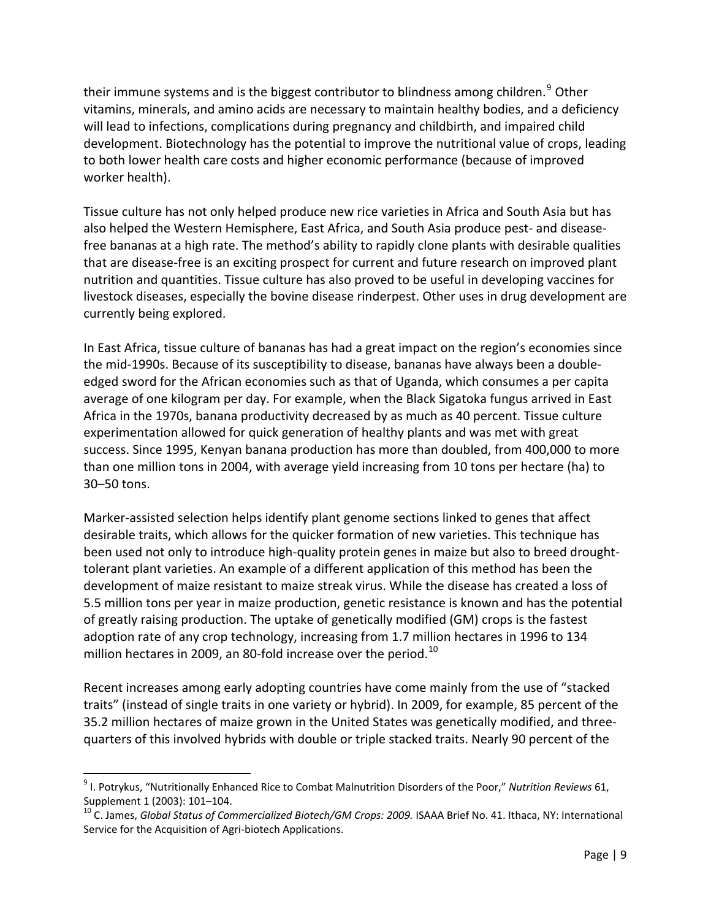their immune systems and is the biggest contributor to blindness among children.<sup>9</sup> Other vitamins, minerals, and amino acids are necessary to maintain healthy bodies, and a deficiency will lead to infections, complications during pregnancy and childbirth, and impair[ed](#page-2-0) child development. Biotechnology has the potential to improve the nutritional value of crops, leading to both lower health care costs and higher economic performance (because of improved worker health).

Tissue culture has not only helped produce new rice varieties in Africa and South Asia but has also helped the Western Hemisphere, East Africa, and South Asia produce pest‐ and disease‐ free bananas at a high rate. The method's ability to rapidly clone plants with desirable qualities that are disease‐free is an exciting prospect for current and future research on improved plant nutrition and quantities. Tissue culture has also proved to be useful in developing vaccines for livestock diseases, especially the bovine disease rinderpest. Other uses in drug development are currently being explored.

In East Africa, tissue culture of bananas has had a great impact on the region's economies since the mid‐1990s. Because of its susceptibility to disease, bananas have always been a double‐ edged sword for the African economies such as that of Uganda, which consumes a per capita average of one kilogram per day. For example, when the Black Sigatoka fungus arrived in East Africa in the 1970s, banana productivity decreased by as much as 40 percent. Tissue culture experimentation allowed for quick generation of healthy plants and was met with great success. Since 1995, Kenyan banana production has more than doubled, from 400,000 to more than one million tons in 2004, with average yield increasing from 10 tons per hectare (ha) to 30–50 tons.

Marker‐assisted selection helps identify plant genome sections linked to genes that affect desirable traits, which allows for the quicker formation of new varieties. This technique has been used not only to introduce high‐quality protein genes in maize but also to breed drought‐ tolerant plant varieties. An example of a different application of this method has been the development of maize resistant to maize streak virus. While the disease has created a loss of 5.5 million tons per year in maize production, genetic resistance is known and has the potential of greatly raising production. The uptake of genetically modified (GM) crops is the fastest adoption rate of any crop technology, increasing from 1.7 million hectares in 1996 to 134 million hectares in 2009, an 80-fold increase over the period.<sup>10</sup>

Recent increases among early adopting countries have come [ma](#page-2-1)inly from the use of "stacked traits" (instead of single traits in one variety or hybrid). In 2009, for example, 85 percent of the 35.2 million hectares of maize grown in the United States was genetically modified, and three‐ quarters of this involved hybrids with double or triple stacked traits. Nearly 90 percent of the

<span id="page-2-0"></span><sup>9</sup> I. Potrykus, "Nutritionally Enhanced Rice to Combat Malnutrition Disorders of the Poor," *Nutrition Reviews* 61, Supplement 1 (2003): 101–104.<br><sup>10</sup> C. James, *Global Status of Commercialized Biotech/GM Crops: 2009.* ISAAA Brief No. 41. Ithaca, NY: International

<span id="page-2-1"></span>Service for the Acquisition of Agri‐biotech Applications.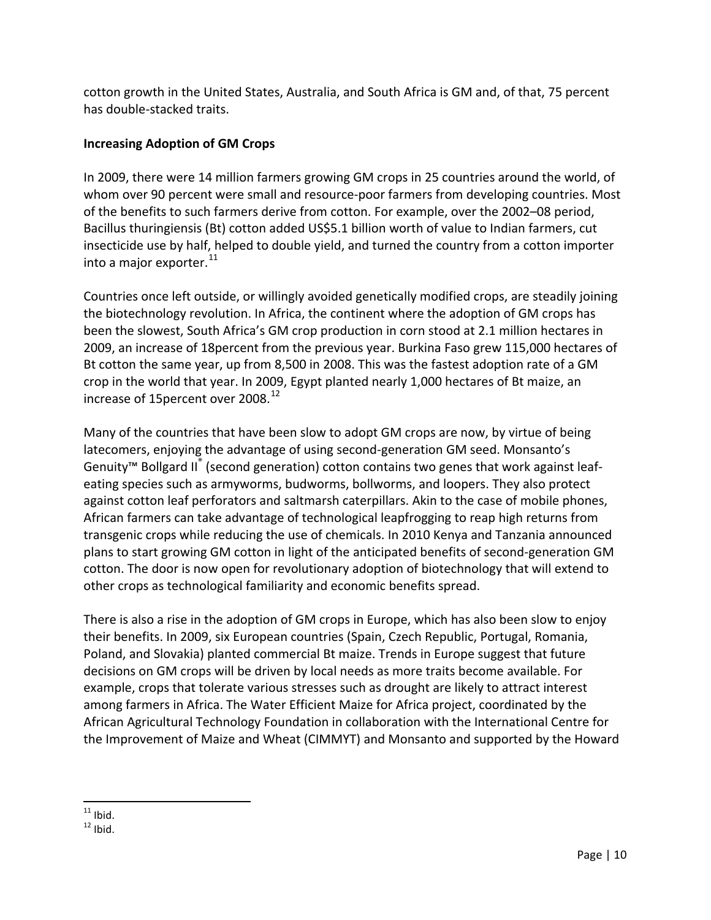cotton growth in the United States, Australia, and South Africa is GM and, of that, 75 percent has double‐stacked traits.

#### **Increasing Adoption of GM Crops**

In 2009, there were 14 million farmers growing GM crops in 25 countries around the world, of whom over 90 percent were small and resource-poor farmers from developing countries. Most of the benefits to such farmers derive from cotton. For example, over the 2002–08 period, Bacillus thuringiensis (Bt) cotton added US\$5.1 billion worth of value to Indian farmers, cut insecticide use by half, helped to double yield, and turned the country from a cotton importer into a major exporter. $^{11}$ 

Countries once left ou[tsi](#page-3-0)de, or willingly avoided genetically modified crops, are steadily joining the biotechnology revolution. In Africa, the continent where the adoption of GM crops has been the slowest, South Africa's GM crop production in corn stood at 2.1 million hectares in 2009, an increase of 18percent from the previous year. Burkina Faso grew 115,000 hectares of Bt cotton the same year, up from 8,500 in 2008. This was the fastest adoption rate of a GM crop in the world that year. In 2009, Egypt planted nearly 1,000 hectares of Bt maize, an increase of 15 percent over  $2008.<sup>12</sup>$ 

Many of the countries that have [be](#page-3-1)en slow to adopt GM crops are now, by virtue of being latecomers, enjoying the advantage of using second‐generation GM seed. Monsanto's Genuity<sup>™</sup> Bollgard II<sup>®</sup> (second generation) cotton contains two genes that work against leafeating species such as armyworms, budworms, bollworms, and loopers. They also protect against cotton leaf perforators and saltmarsh caterpillars. Akin to the case of mobile phones, African farmers can take advantage of technological leapfrogging to reap high returns from transgenic crops while reducing the use of chemicals. In 2010 Kenya and Tanzania announced plans to start growing GM cotton in light of the anticipated benefits of second‐generation GM cotton. The door is now open for revolutionary adoption of biotechnology that will extend to other crops as technological familiarity and economic benefits spread.

There is also a rise in the adoption of GM crops in Europe, which has also been slow to enjoy their benefits. In 2009, six European countries (Spain, Czech Republic, Portugal, Romania, Poland, and Slovakia) planted commercial Bt maize. Trends in Europe suggest that future decisions on GM crops will be driven by local needs as more traits become available. For example, crops that tolerate various stresses such as drought are likely to attract interest among farmers in Africa. The Water Efficient Maize for Africa project, coordinated by the African Agricultural Technology Foundation in collaboration with the International Centre for the Improvement of Maize and Wheat (CIMMYT) and Monsanto and supported by the Howard

<span id="page-3-1"></span><span id="page-3-0"></span> $11$  Ibid.<br> $12$  Ibid.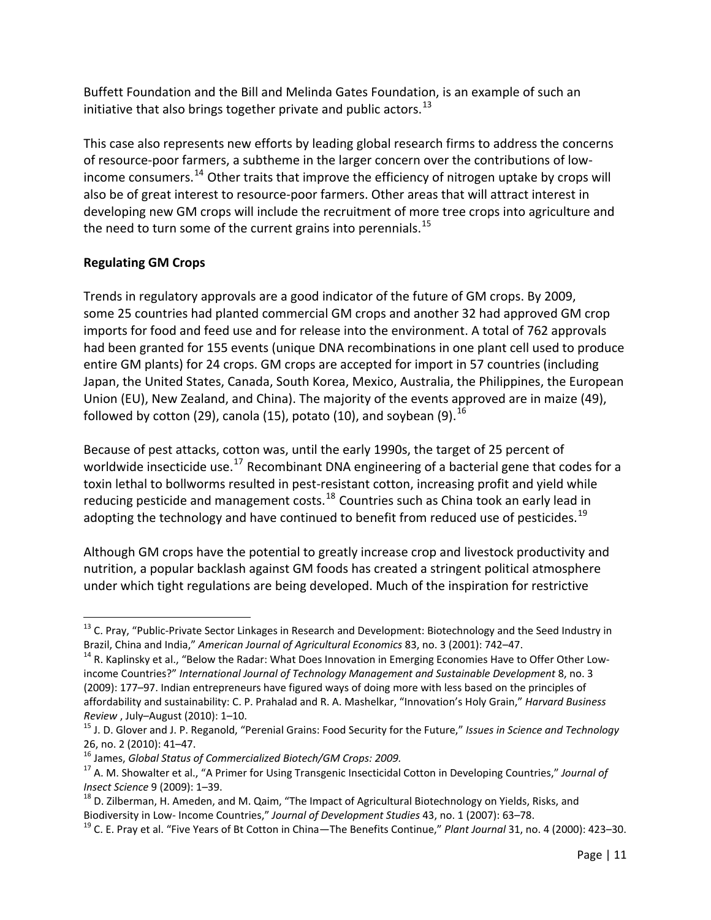Buffett Foundation and the Bill and Melinda Gates Foundation, is an example of such an initiative that also brings together private and public actors. $^{13}$  $^{13}$  $^{13}$ 

This case also represents new efforts by leading global research firms to address the concerns of resource‐poor farmers, a subtheme in the larger concern over the contributions of low‐ income consumers.<sup>[14](#page-4-1)</sup> Other traits that improve the efficiency of nitrogen uptake by crops will also be of great interest to resource‐poor farmers. Other areas that will attract interest in developing new GM crops will include the recruitment of more tree crops into agriculture and the need to turn some of the current grains into perennials.<sup>[15](#page-4-2)</sup>

## **Regulating GM Crops**

Trends in regulatory approvals are a good indicator of the future of GM crops. By 2009, some 25 countries had planted commercial GM crops and another 32 had approved GM crop imports for food and feed use and for release into the environment. A total of 762 approvals had been granted for 155 events (unique DNA recombinations in one plant cell used to produce entire GM plants) for 24 crops. GM crops are accepted for import in 57 countries (including Japan, the United States, Canada, South Korea, Mexico, Australia, the Philippines, the European Union (EU), New Zealand, and China). The majority of the events approved are in maize (49), followed by cotton (29), canola (15), potato (10), and soybean (9).<sup>[16](#page-4-3)</sup>

Because of pest attacks, cotton was, until the early 1990s, the target of 25 percent of worldwide insecticide use.<sup>[17](#page-4-4)</sup> Recombinant DNA engineering of a bacterial gene that codes for a toxin lethal to bollworms resulted in pest-resistant cotton, increasing profit and yield while reducing pesticide and management costs.<sup>[18](#page-4-5)</sup> Countries such as China took an early lead in adopting the technology and have continued to benefit from reduced use of pesticides.<sup>[19](#page-4-6)</sup>

Although GM crops have the potential to greatly increase crop and livestock productivity and nutrition, a popular backlash against GM foods has created a stringent political atmosphere under which tight regulations are being developed. Much of the inspiration for restrictive

<span id="page-4-0"></span> $13$  C. Pray, "Public-Private Sector Linkages in Research and Development: Biotechnology and the Seed Industry in Brazil, China and India," American Journal of Agricultural Economics 83, no. 3 (2001): 742–47.<br><sup>14</sup> R. Kaplinsky et al., "Below the Radar: What Does Innovation in Emerging Economies Have to Offer Other Low-

<span id="page-4-1"></span>income Countries?" *International Journal of Technology Management and Sustainable Development* 8, no. 3 (2009): 177–97. Indian entrepreneurs have figured ways of doing more with less based on the principles of affordability and sustainability: C. P. Prahalad and R. A. Mashelkar, "Innovation's Holy Grain," *Harvard Business*

<span id="page-4-2"></span>*Review* , July–August (2010): 1–10. <sup>15</sup> J. D. Glover and J. P. Reganold, "Perenial Grains: Food Security for the Future," *Issues in Science and Technology*

<span id="page-4-4"></span><span id="page-4-3"></span>

<sup>26,</sup> no. 2 (2010): 41–47.<br><sup>16</sup> James, *Global Status of Commercialized Biotech/GM Crops: 2009.*<br><sup>17</sup> A. M. Showalter et al., "A Primer for Using Transgenic Insecticidal Cotton in Developing Countries," Journal of

<span id="page-4-5"></span>*Insect Science* 9 (2009): 1–39.<br><sup>18</sup> D. Zilberman, H. Ameden, and M. Qaim, "The Impact of Agricultural Biotechnology on Yields, Risks, and<br>Biodiversity in Low- Income Countries," *Journal of Development Studies* 43, no. 1

<span id="page-4-6"></span><sup>&</sup>lt;sup>19</sup> C. E. Pray et al. "Five Years of Bt Cotton in China—The Benefits Continue," Plant Journal 31, no. 4 (2000): 423–30.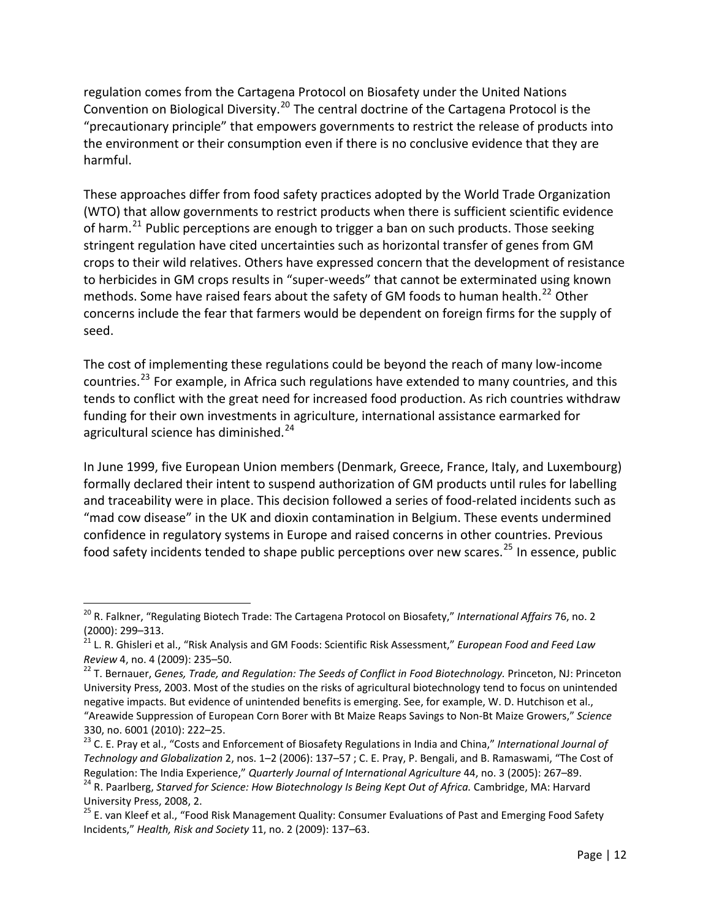regulation comes from the Cartagena Protocol on Biosafety under the United Nations Convention on Biological Diversity.[20](#page-5-0) The central doctrine of the Cartagena Protocol is the "precautionary principle" that empowers governments to restrict the release of products into the environment or their consumption even if there is no conclusive evidence that they are harmful.

These approaches differ from food safety practices adopted by the World Trade Organization (WTO) that allow governments to restrict products when there is sufficient scientific evidence of harm.<sup>[21](#page-5-1)</sup> Public perceptions are enough to trigger a ban on such products. Those seeking stringent regulation have cited uncertainties such as horizontal transfer of genes from GM crops to their wild relatives. Others have expressed concern that the development of resistance to herbicides in GM crops results in "super‐weeds" that cannot be exterminated using known methods. Some have raised fears about the safety of GM foods to human health.<sup>[22](#page-5-2)</sup> Other concerns include the fear that farmers would be dependent on foreign firms for the supply of seed.

The cost of implementing these regulations could be beyond the reach of many low‐income countries.<sup>[23](#page-5-3)</sup> For example, in Africa such regulations have extended to many countries, and this tends to conflict with the great need for increased food production. As rich countries withdraw funding for their own investments in agriculture, international assistance earmarked for agricultural science has diminished.<sup>[24](#page-5-4)</sup>

In June 1999, five European Union members (Denmark, Greece, France, Italy, and Luxembourg) formally declared their intent to suspend authorization of GM products until rules for labelling and traceability were in place. This decision followed a series of food-related incidents such as "mad cow disease" in the UK and dioxin contamination in Belgium. These events undermined confidence in regulatory systems in Europe and raised concerns in other countries. Previous food safety incidents tended to shape public perceptions over new scares.<sup>[25](#page-5-5)</sup> In essence, public

<span id="page-5-0"></span> <sup>20</sup> R. Falkner, "Regulating Biotech Trade: The Cartagena Protocol on Biosafety," *International Affairs* 76, no. 2

<span id="page-5-1"></span><sup>(2000): 299–313.&</sup>lt;br><sup>21</sup> L. R. Ghisleri et al., "Risk Analysis and GM Foods: Scientific Risk Assessment," *European Food and Feed Law*<br>*Review 4, no. 4 (2009): 235–50.* 

<span id="page-5-2"></span><sup>&</sup>lt;sup>22</sup> T. Bernauer, Genes, Trade, and Regulation: The Seeds of Conflict in Food Biotechnology. Princeton, NJ: Princeton University Press, 2003. Most of the studies on the risks of agricultural biotechnology tend to focus on unintended negative impacts. But evidence of unintended benefits is emerging. See, for example, W. D. Hutchison et al., "Areawide Suppression of European Corn Borer with Bt Maize Reaps Savings to Non‐Bt Maize Growers," *Science* 330, no. <sup>6001</sup> (2010): 222–25. <sup>23</sup> C. E. Pray et al., "Costs and Enforcement of Biosafety Regulations in India and China," *International Journal of*

<span id="page-5-3"></span>*Technology and Globalization* 2, nos. 1–2 (2006): 137–57 ; C. E. Pray, P. Bengali, and B. Ramaswami, "The Cost of Regulation: The India Experience," Quarterly Journal of International Agriculture 44, no. 3 (2005): 267–89.<br><sup>24</sup> R. Paarlberg, *Starved for Science: How Biotechnology Is Being Kept Out of Africa. Cambridge, MA: Harvard* 

<span id="page-5-4"></span>University Press, 2008, 2.<br><sup>25</sup> E. van Kleef et al., "Food Risk Management Quality: Consumer Evaluations of Past and Emerging Food Safety

<span id="page-5-5"></span>Incidents," *Health, Risk and Society* 11, no. 2 (2009): 137–63.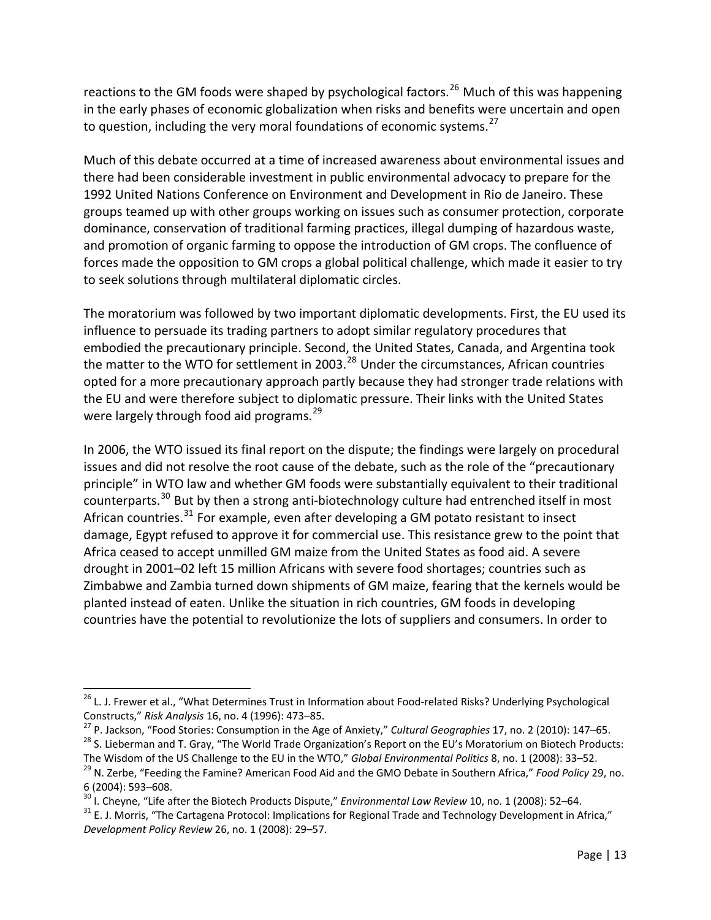reactions to the GM foods were shaped by psychological factors.<sup>[26](#page-6-0)</sup> Much of this was happening in the early phases of economic globalization when risks and benefits were uncertain and open to question, including the very moral foundations of economic systems.<sup>[27](#page-6-1)</sup>

Much of this debate occurred at a time of increased awareness about environmental issues and there had been considerable investment in public environmental advocacy to prepare for the 1992 United Nations Conference on Environment and Development in Rio de Janeiro. These groups teamed up with other groups working on issues such as consumer protection, corporate dominance, conservation of traditional farming practices, illegal dumping of hazardous waste, and promotion of organic farming to oppose the introduction of GM crops. The confluence of forces made the opposition to GM crops a global political challenge, which made it easier to try to seek solutions through multilateral diplomatic circles.

The moratorium was followed by two important diplomatic developments. First, the EU used its influence to persuade its trading partners to adopt similar regulatory procedures that embodied the precautionary principle. Second, the United States, Canada, and Argentina took the matter to the WTO for settlement in 2003.<sup>[28](#page-6-2)</sup> Under the circumstances, African countries opted for a more precautionary approach partly because they had stronger trade relations with the EU and were therefore subject to diplomatic pressure. Their links with the United States were largely through food aid programs. $^{29}$  $^{29}$  $^{29}$ 

In 2006, the WTO issued its final report on the dispute; the findings were largely on procedural issues and did not resolve the root cause of the debate, such as the role of the "precautionary principle" in WTO law and whether GM foods were substantially equivalent to their traditional counterparts.<sup>[30](#page-6-4)</sup> But by then a strong anti-biotechnology culture had entrenched itself in most African countries. $^{31}$  $^{31}$  $^{31}$  For example, even after developing a GM potato resistant to insect damage, Egypt refused to approve it for commercial use. This resistance grew to the point that Africa ceased to accept unmilled GM maize from the United States as food aid. A severe drought in 2001–02 left 15 million Africans with severe food shortages; countries such as Zimbabwe and Zambia turned down shipments of GM maize, fearing that the kernels would be planted instead of eaten. Unlike the situation in rich countries, GM foods in developing countries have the potential to revolutionize the lots of suppliers and consumers. In order to

<span id="page-6-0"></span> <sup>26</sup> L. J. Frewer et al., "What Determines Trust in Information about Food-related Risks? Underlying Psychological<br>Constructs," Risk Analysis 16, no. 4 (1996): 473–85.

<span id="page-6-1"></span><sup>&</sup>lt;sup>27</sup> P. Jackson, "Food Stories: Consumption in the Age of Anxiety," Cultural Geographies 17, no. 2 (2010): 147–65.<br><sup>28</sup> S. Lieberman and T. Gray, "The World Trade Organization's Report on the EU's Moratorium on Biotech Pro

<span id="page-6-3"></span><span id="page-6-2"></span>The Wisdom of the US Challenge to the EU in the WTO," *Global Environmental Politics* 8, no. 1 (2008): 33–52.<br><sup>29</sup> N. Zerbe, "Feeding the Famine? American Food Aid and the GMO Debate in Southern Africa," *Food Policy* 29,

<span id="page-6-4"></span><sup>6 (2004): 593–608.&</sup>lt;br><sup>30</sup> I. Cheyne, "Life after the Biotech Products Dispute," *Environmental Law Review* 10, no. 1 (2008): 52–64.<br><sup>31</sup> E. J. Morris, "The Cartagena Protocol: Implications for Regional Trade and Technology D

<span id="page-6-5"></span>*Development Policy Review* 26, no. 1 (2008): 29–57.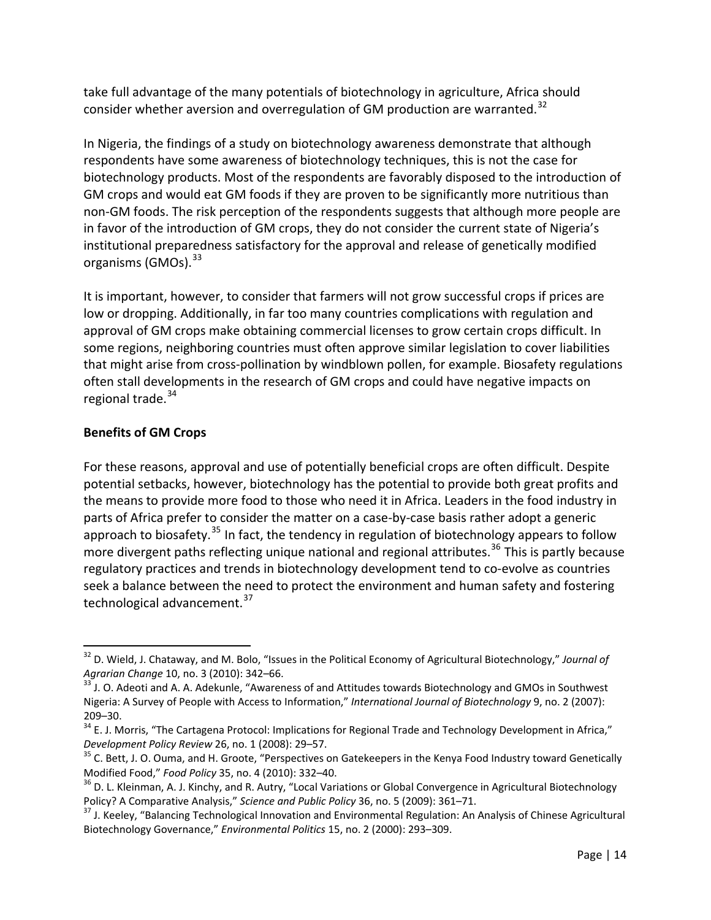take full advantage of the many potentials of biotechnology in agriculture, Africa should consider whether aversion and overregulation of GM production are warranted.<sup>[32](#page-7-0)</sup>

In Nigeria, the findings of a study on biotechnology awareness demonstrate that although respondents have some awareness of biotechnology techniques, this is not the case for biotechnology products. Most of the respondents are favorably disposed to the introduction of GM crops and would eat GM foods if they are proven to be significantly more nutritious than non‐GM foods. The risk perception of the respondents suggests that although more people are in favor of the introduction of GM crops, they do not consider the current state of Nigeria's institutional preparedness satisfactory for the approval and release of genetically modified organisms (GMOs).<sup>[33](#page-7-1)</sup>

It is important, however, to consider that farmers will not grow successful crops if prices are low or dropping. Additionally, in far too many countries complications with regulation and approval of GM crops make obtaining commercial licenses to grow certain crops difficult. In some regions, neighboring countries must often approve similar legislation to cover liabilities that might arise from cross‐pollination by windblown pollen, for example. Biosafety regulations often stall developments in the research of GM crops and could have negative impacts on regional trade.<sup>[34](#page-7-2)</sup>

## **Benefits of GM Crops**

For these reasons, approval and use of potentially beneficial crops are often difficult. Despite potential setbacks, however, biotechnology has the potential to provide both great profits and the means to provide more food to those who need it in Africa. Leaders in the food industry in parts of Africa prefer to consider the matter on a case‐by‐case basis rather adopt a generic approach to biosafety.<sup>[35](#page-7-3)</sup> In fact, the tendency in regulation of biotechnology appears to follow more divergent paths reflecting unique national and regional attributes.<sup>[36](#page-7-4)</sup> This is partly because regulatory practices and trends in biotechnology development tend to co‐evolve as countries seek a balance between the need to protect the environment and human safety and fostering technological advancement.<sup>[37](#page-7-5)</sup>

<span id="page-7-0"></span><sup>32</sup> D. Wield, J. Chataway, and M. Bolo, "Issues in the Political Economy of Agricultural Biotechnology," *Journal of Agrarian Change* 10, no. 3 (2010): 342–66.<br><sup>33</sup> J. O. Adeoti and A. A. Adekunle, "Awareness of and Attitudes towards Biotechnology and GMOs in Southwest

<span id="page-7-1"></span>Nigeria: A Survey of People with Access to Information," *International Journal of Biotechnology* 9, no. 2 (2007): 209–30.

<span id="page-7-2"></span> $34$  E. J. Morris, "The Cartagena Protocol: Implications for Regional Trade and Technology Development in Africa,"

<span id="page-7-3"></span>*Development Policy Review* 26, no. 1 (2008): 29–57.<br><sup>35</sup> C. Bett, J. O. Ouma, and H. Groote, "Perspectives on Gatekeepers in the Kenya Food Industry toward Genetically<br>Modified Food," *Food Policy* 35, no. 4 (2010): 332–4

<span id="page-7-4"></span><sup>&</sup>lt;sup>36</sup> D. L. Kleinman, A. J. Kinchy, and R. Autry, "Local Variations or Global Convergence in Agricultural Biotechnology Policy? A Comparative Analysis," Science and Public Policy 36, no. 5 (2009): 361–71.<br><sup>37</sup> J. Keeley, "Balancing Technological Innovation and Environmental Regulation: An Analysis of Chinese Agricultural

<span id="page-7-5"></span>Biotechnology Governance," *Environmental Politics* 15, no. 2 (2000): 293–309.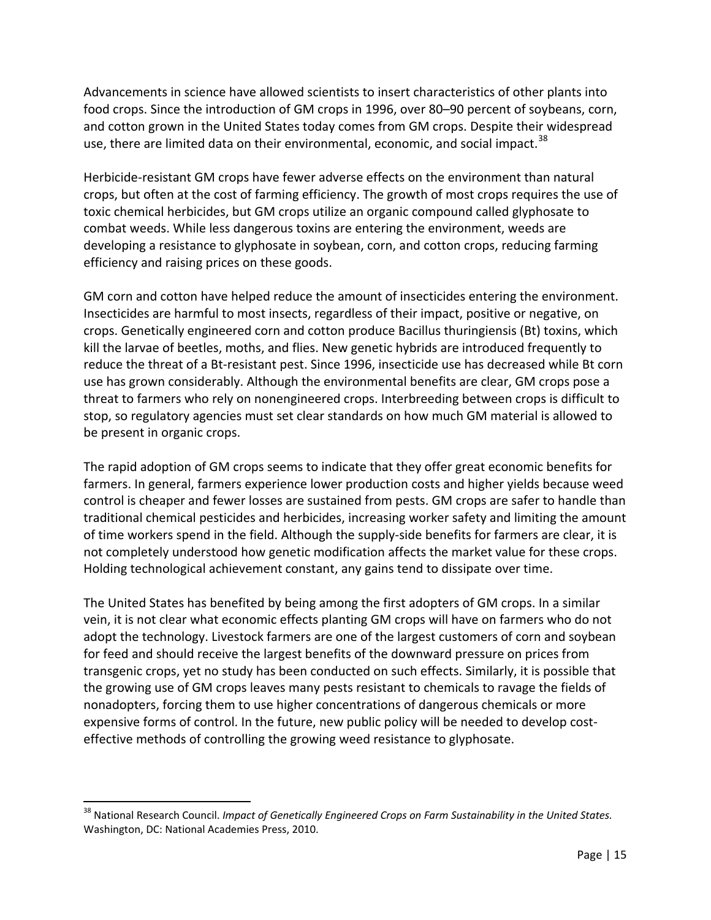Advancements in science have allowed scientists to insert characteristics of other plants into food crops. Since the introduction of GM crops in 1996, over 80–90 percent of soybeans, corn, and cotton grown in the United States today comes from GM crops. Despite their widespread use, there are limited data on their environmental, economic, and social impact.<sup>[38](#page-8-0)</sup>

Herbicide‐resistant GM crops have fewer adverse effects on the environment than natural crops, but often at the cost of farming efficiency. The growth of most crops requires the use of toxic chemical herbicides, but GM crops utilize an organic compound called glyphosate to combat weeds. While less dangerous toxins are entering the environment, weeds are developing a resistance to glyphosate in soybean, corn, and cotton crops, reducing farming efficiency and raising prices on these goods.

GM corn and cotton have helped reduce the amount of insecticides entering the environment. Insecticides are harmful to most insects, regardless of their impact, positive or negative, on crops. Genetically engineered corn and cotton produce Bacillus thuringiensis (Bt) toxins, which kill the larvae of beetles, moths, and flies. New genetic hybrids are introduced frequently to reduce the threat of a Bt‐resistant pest. Since 1996, insecticide use has decreased while Bt corn use has grown considerably. Although the environmental benefits are clear, GM crops pose a threat to farmers who rely on nonengineered crops. Interbreeding between crops is difficult to stop, so regulatory agencies must set clear standards on how much GM material is allowed to be present in organic crops.

The rapid adoption of GM crops seems to indicate that they offer great economic benefits for farmers. In general, farmers experience lower production costs and higher yields because weed control is cheaper and fewer losses are sustained from pests. GM crops are safer to handle than traditional chemical pesticides and herbicides, increasing worker safety and limiting the amount of time workers spend in the field. Although the supply‐side benefits for farmers are clear, it is not completely understood how genetic modification affects the market value for these crops. Holding technological achievement constant, any gains tend to dissipate over time.

The United States has benefited by being among the first adopters of GM crops. In a similar vein, it is not clear what economic effects planting GM crops will have on farmers who do not adopt the technology. Livestock farmers are one of the largest customers of corn and soybean for feed and should receive the largest benefits of the downward pressure on prices from transgenic crops, yet no study has been conducted on such effects. Similarly, it is possible that the growing use of GM crops leaves many pests resistant to chemicals to ravage the fields of nonadopters, forcing them to use higher concentrations of dangerous chemicals or more expensive forms of control. In the future, new public policy will be needed to develop costeffective methods of controlling the growing weed resistance to glyphosate.

<span id="page-8-0"></span><sup>38</sup> National Research Council. *Impact of Genetically Engineered Crops on Farm Sustainability in the United States.* Washington, DC: National Academies Press, 2010.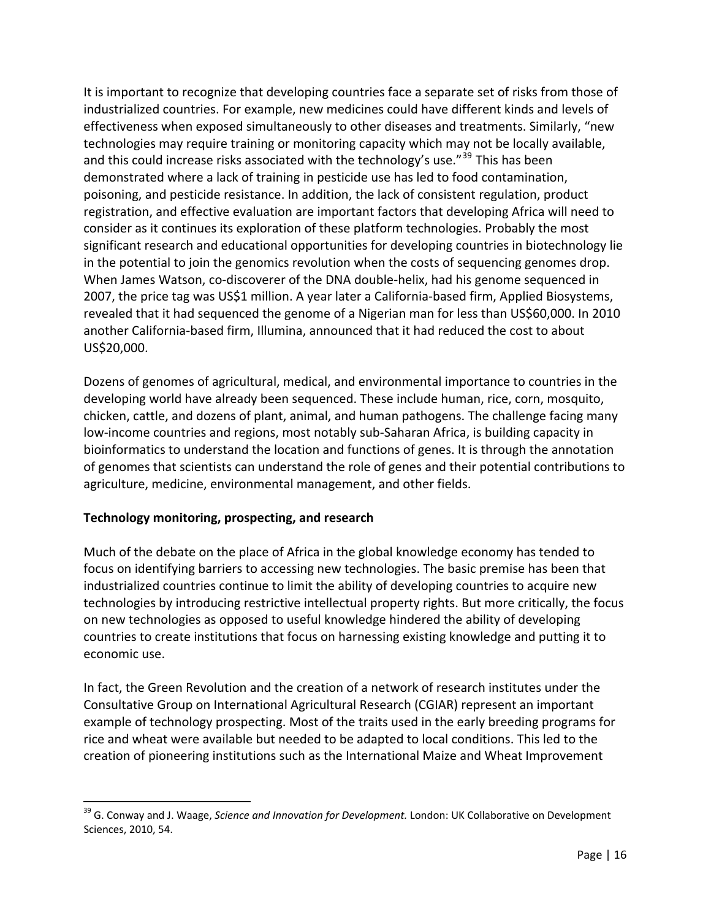It is important to recognize that developing countries face a separate set of risks from those of industrialized countries. For example, new medicines could have different kinds and levels of effectiveness when exposed simultaneously to other diseases and treatments. Similarly, "new technologies may require training or monitoring capacity which may not be locally available, and this could increase risks associated with the technology's use."<sup>[39](#page-9-0)</sup> This has been demonstrated where a lack of training in pesticide use has led to food contamination, poisoning, and pesticide resistance. In addition, the lack of consistent regulation, product registration, and effective evaluation are important factors that developing Africa will need to consider as it continues its exploration of these platform technologies. Probably the most significant research and educational opportunities for developing countries in biotechnology lie in the potential to join the genomics revolution when the costs of sequencing genomes drop. When James Watson, co‐discoverer of the DNA double‐helix, had his genome sequenced in 2007, the price tag was US\$1 million. A year later a California‐based firm, Applied Biosystems, revealed that it had sequenced the genome of a Nigerian man for less than US\$60,000. In 2010 another California‐based firm, Illumina, announced that it had reduced the cost to about US\$20,000.

Dozens of genomes of agricultural, medical, and environmental importance to countries in the developing world have already been sequenced. These include human, rice, corn, mosquito, chicken, cattle, and dozens of plant, animal, and human pathogens. The challenge facing many low‐income countries and regions, most notably sub‐Saharan Africa, is building capacity in bioinformatics to understand the location and functions of genes. It is through the annotation of genomes that scientists can understand the role of genes and their potential contributions to agriculture, medicine, environmental management, and other fields.

#### **Technology monitoring, prospecting, and research**

Much of the debate on the place of Africa in the global knowledge economy has tended to focus on identifying barriers to accessing new technologies. The basic premise has been that industrialized countries continue to limit the ability of developing countries to acquire new technologies by introducing restrictive intellectual property rights. But more critically, the focus on new technologies as opposed to useful knowledge hindered the ability of developing countries to create institutions that focus on harnessing existing knowledge and putting it to economic use.

In fact, the Green Revolution and the creation of a network of research institutes under the Consultative Group on International Agricultural Research (CGIAR) represent an important example of technology prospecting. Most of the traits used in the early breeding programs for rice and wheat were available but needed to be adapted to local conditions. This led to the creation of pioneering institutions such as the International Maize and Wheat Improvement

<span id="page-9-0"></span><sup>39</sup> G. Conway and J. Waage, *Science and Innovation for Development.* London: UK Collaborative on Development Sciences, 2010, 54.